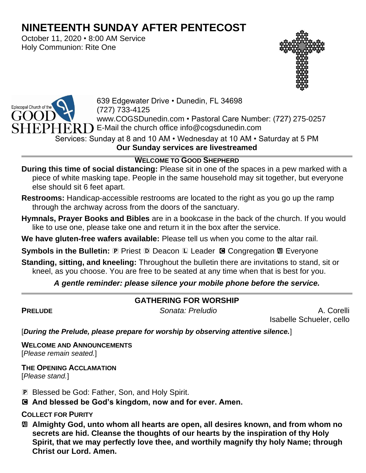# **NINETEENTH SUNDAY AFTER PENTECOST**

October 11, 2020 • 8:00 AM Service Holy Communion: Rite One





639 Edgewater Drive • Dunedin, FL 34698 (727) 733-4125 www.COGSDunedin.com • Pastoral Care Number: (727) 275-0257  $R\bigcap$  E-Mail the church office info@cogsdunedin.com

Services: Sunday at 8 and 10 AM • Wednesday at 10 AM • Saturday at 5 PM **Our Sunday services are livestreamed**

### **WELCOME TO GOOD SHEPHERD**

**During this time of social distancing:** Please sit in one of the spaces in a pew marked with a piece of white masking tape. People in the same household may sit together, but everyone else should sit 6 feet apart.

**Restrooms:** Handicap-accessible restrooms are located to the right as you go up the ramp through the archway across from the doors of the sanctuary.

**Hymnals, Prayer Books and Bibles** are in a bookcase in the back of the church. If you would like to use one, please take one and return it in the box after the service.

**We have gluten-free wafers available:** Please tell us when you come to the altar rail.

**Symbols in the Bulletin: P Priest D Deacon L Leader G Congregation M Everyone** 

**Standing, sitting, and kneeling:** Throughout the bulletin there are invitations to stand, sit or kneel, as you choose. You are free to be seated at any time when that is best for you.

## *A gentle reminder: please silence your mobile phone before the service.*

## **GATHERING FOR WORSHIP**

**PRELUDE** *Sonata: Preludio* A. Corelli Isabelle Schueler, cello

[*During the Prelude, please prepare for worship by observing attentive silence.*]

**WELCOME AND ANNOUNCEMENTS** [*Please remain seated.*]

**THE OPENING ACCLAMATION** [*Please stand.*]

- P Blessed be God: Father, Son, and Holy Spirit.
- C **And blessed be God's kingdom, now and for ever. Amen.**

#### **COLLECT FOR PURITY**

a **Almighty God, unto whom all hearts are open, all desires known, and from whom no secrets are hid. Cleanse the thoughts of our hearts by the inspiration of thy Holy Spirit, that we may perfectly love thee, and worthily magnify thy holy Name; through Christ our Lord. Amen.**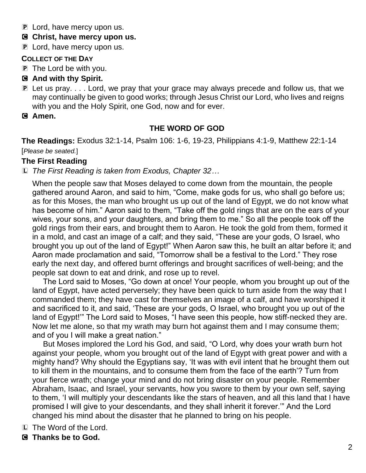- P Lord, have mercy upon us.
- C **Christ, have mercy upon us.**

**P** Lord, have mercy upon us.

#### **COLLECT OF THE DAY**

P The Lord be with you.

## C **And with thy Spirit.**

- P Let us pray. . . . Lord, we pray that your grace may always precede and follow us, that we may continually be given to good works; through Jesus Christ our Lord, who lives and reigns with you and the Holy Spirit, one God, now and for ever.
- C **Amen.**

## **THE WORD OF GOD**

**The Readings:** Exodus 32:1-14, Psalm 106: 1-6, 19-23, Philippians 4:1-9, Matthew 22:1-14

[*Please be seated.*]

### **The First Reading**

L *The First Reading is taken from Exodus, Chapter 32…*

When the people saw that Moses delayed to come down from the mountain, the people gathered around Aaron, and said to him, "Come, make gods for us, who shall go before us; as for this Moses, the man who brought us up out of the land of Egypt, we do not know what has become of him." Aaron said to them, "Take off the gold rings that are on the ears of your wives, your sons, and your daughters, and bring them to me." So all the people took off the gold rings from their ears, and brought them to Aaron. He took the gold from them, formed it in a mold, and cast an image of a calf; and they said, "These are your gods, O Israel, who brought you up out of the land of Egypt!" When Aaron saw this, he built an altar before it; and Aaron made proclamation and said, "Tomorrow shall be a festival to the Lord." They rose early the next day, and offered burnt offerings and brought sacrifices of well-being; and the people sat down to eat and drink, and rose up to revel.

The Lord said to Moses, "Go down at once! Your people, whom you brought up out of the land of Egypt, have acted perversely; they have been quick to turn aside from the way that I commanded them; they have cast for themselves an image of a calf, and have worshiped it and sacrificed to it, and said, 'These are your gods, O Israel, who brought you up out of the land of Egypt!'" The Lord said to Moses, "I have seen this people, how stiff-necked they are. Now let me alone, so that my wrath may burn hot against them and I may consume them; and of you I will make a great nation."

But Moses implored the Lord his God, and said, "O Lord, why does your wrath burn hot against your people, whom you brought out of the land of Egypt with great power and with a mighty hand? Why should the Egyptians say, 'It was with evil intent that he brought them out to kill them in the mountains, and to consume them from the face of the earth'? Turn from your fierce wrath; change your mind and do not bring disaster on your people. Remember Abraham, Isaac, and Israel, your servants, how you swore to them by your own self, saying to them, 'I will multiply your descendants like the stars of heaven, and all this land that I have promised I will give to your descendants, and they shall inherit it forever.'" And the Lord changed his mind about the disaster that he planned to bring on his people.

- L The Word of the Lord.
- C **Thanks be to God.**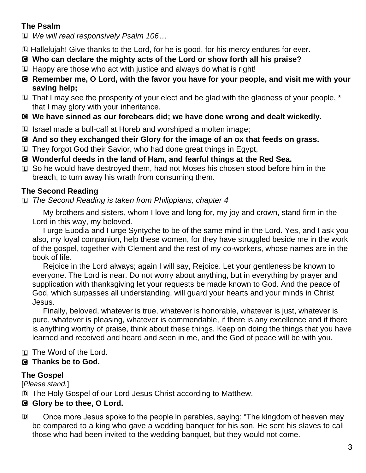## **The Psalm**

- L *We will read responsively Psalm 106…*
- L Hallelujah! Give thanks to the Lord, for he is good, for his mercy endures for ever.
- C **Who can declare the mighty acts of the Lord or show forth all his praise?**
- L Happy are those who act with justice and always do what is right!
- C **Remember me, O Lord, with the favor you have for your people, and visit me with your saving help;**
- L That I may see the prosperity of your elect and be glad with the gladness of your people, \* that I may glory with your inheritance.
- C **We have sinned as our forebears did; we have done wrong and dealt wickedly.**
- L Israel made a bull-calf at Horeb and worshiped a molten image;
- C **And so they exchanged their Glory for the image of an ox that feeds on grass.**
- L They forgot God their Savior, who had done great things in Egypt,
- C **Wonderful deeds in the land of Ham, and fearful things at the Red Sea.**
- $\Box$  So he would have destroyed them, had not Moses his chosen stood before him in the breach, to turn away his wrath from consuming them.

## **The Second Reading**

L *The Second Reading is taken from Philippians, chapter 4*

My brothers and sisters, whom I love and long for, my joy and crown, stand firm in the Lord in this way, my beloved.

I urge Euodia and I urge Syntyche to be of the same mind in the Lord. Yes, and I ask you also, my loyal companion, help these women, for they have struggled beside me in the work of the gospel, together with Clement and the rest of my co-workers, whose names are in the book of life.

Rejoice in the Lord always; again I will say, Rejoice. Let your gentleness be known to everyone. The Lord is near. Do not worry about anything, but in everything by prayer and supplication with thanksgiving let your requests be made known to God. And the peace of God, which surpasses all understanding, will guard your hearts and your minds in Christ Jesus.

Finally, beloved, whatever is true, whatever is honorable, whatever is just, whatever is pure, whatever is pleasing, whatever is commendable, if there is any excellence and if there is anything worthy of praise, think about these things. Keep on doing the things that you have learned and received and heard and seen in me, and the God of peace will be with you.

L The Word of the Lord.

## C **Thanks be to God.**

## **The Gospel**

[*Please stand.*]

D The Holy Gospel of our Lord Jesus Christ according to Matthew.

## C **Glory be to thee, O Lord.**

D Once more Jesus spoke to the people in parables, saying: "The kingdom of heaven may be compared to a king who gave a wedding banquet for his son. He sent his slaves to call those who had been invited to the wedding banquet, but they would not come.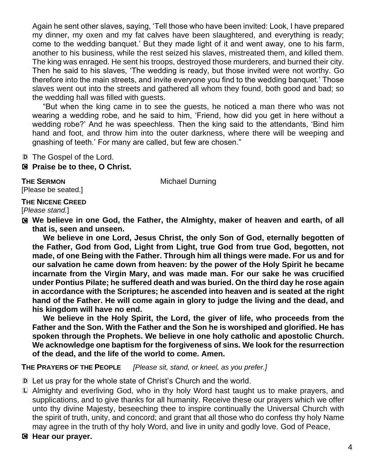Again he sent other slaves, saying, 'Tell those who have been invited: Look, I have prepared my dinner, my oxen and my fat calves have been slaughtered, and everything is ready; come to the wedding banquet.' But they made light of it and went away, one to his farm, another to his business, while the rest seized his slaves, mistreated them, and killed them. The king was enraged. He sent his troops, destroyed those murderers, and burned their city. Then he said to his slaves, 'The wedding is ready, but those invited were not worthy. Go therefore into the main streets, and invite everyone you find to the wedding banquet.' Those slaves went out into the streets and gathered all whom they found, both good and bad; so the wedding hall was filled with guests.

"But when the king came in to see the guests, he noticed a man there who was not wearing a wedding robe, and he said to him, 'Friend, how did you get in here without a wedding robe?' And he was speechless. Then the king said to the attendants, 'Bind him hand and foot, and throw him into the outer darkness, where there will be weeping and gnashing of teeth.' For many are called, but few are chosen."

D The Gospel of the Lord.

C **Praise be to thee, O Christ.**

**THE SERMON** Michael Durning

[Please be seated.]

#### **THE NICENE CREED**

[*Please stand.*]

C **We believe in one God, the Father, the Almighty, maker of heaven and earth, of all that is, seen and unseen.** 

**We believe in one Lord, Jesus Christ, the only Son of God, eternally begotten of the Father, God from God, Light from Light, true God from true God, begotten, not made, of one Being with the Father. Through him all things were made. For us and for our salvation he came down from heaven: by the power of the Holy Spirit he became incarnate from the Virgin Mary, and was made man. For our sake he was crucified under Pontius Pilate; he suffered death and was buried. On the third day he rose again in accordance with the Scriptures; he ascended into heaven and is seated at the right hand of the Father. He will come again in glory to judge the living and the dead, and his kingdom will have no end.**

**We believe in the Holy Spirit, the Lord, the giver of life, who proceeds from the Father and the Son. With the Father and the Son he is worshiped and glorified. He has spoken through the Prophets. We believe in one holy catholic and apostolic Church. We acknowledge one baptism for the forgiveness of sins. We look for the resurrection of the dead, and the life of the world to come. Amen.**

**THE PRAYERS OF THE PEOPLE** *[Please sit, stand, or kneel, as you prefer.]*

- D Let us pray for the whole state of Christ's Church and the world.
- L Almighty and everliving God, who in thy holy Word hast taught us to make prayers, and supplications, and to give thanks for all humanity. Receive these our prayers which we offer unto thy divine Majesty, beseeching thee to inspire continually the Universal Church with the spirit of truth, unity, and concord; and grant that all those who do confess thy holy Name may agree in the truth of thy holy Word, and live in unity and godly love. God of Peace,
- C **Hear our prayer.**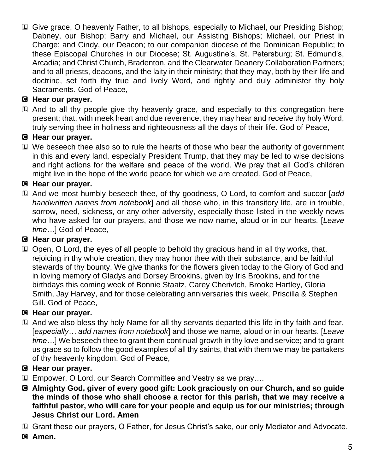L Give grace, O heavenly Father, to all bishops, especially to Michael, our Presiding Bishop; Dabney, our Bishop; Barry and Michael, our Assisting Bishops; Michael, our Priest in Charge; and Cindy, our Deacon; to our companion diocese of the Dominican Republic; to these Episcopal Churches in our Diocese; St. Augustine's, St. Petersburg; St. Edmund's, Arcadia; and Christ Church, Bradenton, and the Clearwater Deanery Collaboration Partners; and to all priests, deacons, and the laity in their ministry; that they may, both by their life and doctrine, set forth thy true and lively Word, and rightly and duly administer thy holy Sacraments. God of Peace,

## C **Hear our prayer.**

L And to all thy people give thy heavenly grace, and especially to this congregation here present; that, with meek heart and due reverence, they may hear and receive thy holy Word, truly serving thee in holiness and righteousness all the days of their life. God of Peace,

## C **Hear our prayer.**

L We beseech thee also so to rule the hearts of those who bear the authority of government in this and every land, especially President Trump, that they may be led to wise decisions and right actions for the welfare and peace of the world. We pray that all God's children might live in the hope of the world peace for which we are created. God of Peace,

## C **Hear our prayer.**

L And we most humbly beseech thee, of thy goodness, O Lord, to comfort and succor [*add handwritten names from notebook*] and all those who, in this transitory life, are in trouble, sorrow, need, sickness, or any other adversity, especially those listed in the weekly news who have asked for our prayers, and those we now name, aloud or in our hearts. [*Leave time…*] God of Peace,

## C **Hear our prayer.**

L Open, O Lord, the eyes of all people to behold thy gracious hand in all thy works, that, rejoicing in thy whole creation, they may honor thee with their substance, and be faithful stewards of thy bounty. We give thanks for the flowers given today to the Glory of God and in loving memory of Gladys and Dorsey Brookins, given by Iris Brookins, and for the birthdays this coming week of Bonnie Staatz, Carey Cherivtch, Brooke Hartley, Gloria Smith, Jay Harvey, and for those celebrating anniversaries this week, Priscilla & Stephen Gill. God of Peace,

## C **Hear our prayer.**

L And we also bless thy holy Name for all thy servants departed this life in thy faith and fear, [*especially… add names from notebook*] and those we name, aloud or in our hearts. [*Leave time…*] We beseech thee to grant them continual growth in thy love and service; and to grant us grace so to follow the good examples of all thy saints, that with them we may be partakers of thy heavenly kingdom. God of Peace,

## C **Hear our prayer.**

- L Empower, O Lord, our Search Committee and Vestry as we pray….
- C **Almighty God, giver of every good gift: Look graciously on our Church, and so guide the minds of those who shall choose a rector for this parish, that we may receive a faithful pastor, who will care for your people and equip us for our ministries; through Jesus Christ our Lord. Amen**
- L Grant these our prayers, O Father, for Jesus Christ's sake, our only Mediator and Advocate.

#### C **Amen.**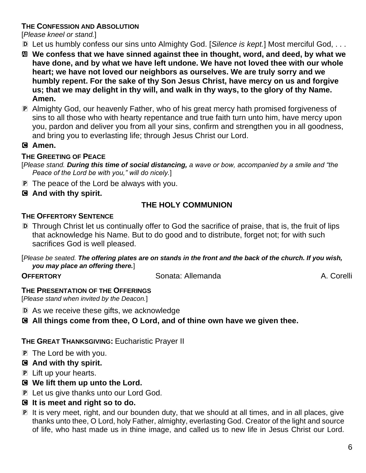#### **THE CONFESSION AND ABSOLUTION**

[*Please kneel or stand.*]

- D Let us humbly confess our sins unto Almighty God. [*Silence is kept.*] Most merciful God, . . .
- a **We confess that we have sinned against thee in thought, word, and deed, by what we have done, and by what we have left undone. We have not loved thee with our whole heart; we have not loved our neighbors as ourselves. We are truly sorry and we humbly repent. For the sake of thy Son Jesus Christ, have mercy on us and forgive us; that we may delight in thy will, and walk in thy ways, to the glory of thy Name. Amen.**
- P Almighty God, our heavenly Father, who of his great mercy hath promised forgiveness of sins to all those who with hearty repentance and true faith turn unto him, have mercy upon you, pardon and deliver you from all your sins, confirm and strengthen you in all goodness, and bring you to everlasting life; through Jesus Christ our Lord.

## C **Amen.**

### **THE GREETING OF PEACE**

[*Please stand. During this time of social distancing, a wave or bow, accompanied by a smile and "the Peace of the Lord be with you," will do nicely.*]

- P The peace of the Lord be always with you.
- C **And with thy spirit.**

## **THE HOLY COMMUNION**

### **THE OFFERTORY SENTENCE**

D Through Christ let us continually offer to God the sacrifice of praise, that is, the fruit of lips that acknowledge his Name. But to do good and to distribute, forget not; for with such sacrifices God is well pleased.

[*Please be seated. The offering plates are on stands in the front and the back of the church. If you wish, you may place an offering there.*]

**OFFERTORY** Sonata: Allemanda A. Corelli

#### **THE PRESENTATION OF THE OFFERINGS**

[*Please stand when invited by the Deacon.*]

D As we receive these gifts, we acknowledge

C **All things come from thee, O Lord, and of thine own have we given thee.**

## **THE GREAT THANKSGIVING:** Eucharistic Prayer II

- P The Lord be with you.
- C **And with thy spirit.**
- P Lift up your hearts.
- C **We lift them up unto the Lord.**
- P Let us give thanks unto our Lord God.
- C **It is meet and right so to do.**
- P It is very meet, right, and our bounden duty, that we should at all times, and in all places, give thanks unto thee, O Lord, holy Father, almighty, everlasting God. Creator of the light and source of life, who hast made us in thine image, and called us to new life in Jesus Christ our Lord.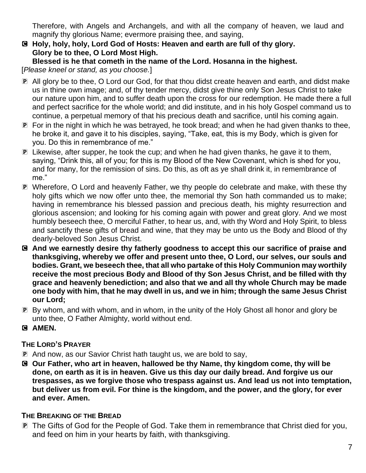Therefore, with Angels and Archangels, and with all the company of heaven, we laud and magnify thy glorious Name; evermore praising thee, and saying,

C **Holy, holy, holy, Lord God of Hosts: Heaven and earth are full of thy glory. Glory be to thee, O Lord Most High.** 

**Blessed is he that cometh in the name of the Lord. Hosanna in the highest.** [*Please kneel or stand, as you choose.*]

- P All glory be to thee, O Lord our God, for that thou didst create heaven and earth, and didst make us in thine own image; and, of thy tender mercy, didst give thine only Son Jesus Christ to take our nature upon him, and to suffer death upon the cross for our redemption. He made there a full and perfect sacrifice for the whole world; and did institute, and in his holy Gospel command us to continue, a perpetual memory of that his precious death and sacrifice, until his coming again.
- P For in the night in which he was betrayed, he took bread; and when he had given thanks to thee, he broke it, and gave it to his disciples, saying, "Take, eat, this is my Body, which is given for you. Do this in remembrance of me."
- P Likewise, after supper, he took the cup; and when he had given thanks, he gave it to them, saying, "Drink this, all of you; for this is my Blood of the New Covenant, which is shed for you, and for many, for the remission of sins. Do this, as oft as ye shall drink it, in remembrance of me."
- P Wherefore, O Lord and heavenly Father, we thy people do celebrate and make, with these thy holy gifts which we now offer unto thee, the memorial thy Son hath commanded us to make; having in remembrance his blessed passion and precious death, his mighty resurrection and glorious ascension; and looking for his coming again with power and great glory. And we most humbly beseech thee, O merciful Father, to hear us, and, with thy Word and Holy Spirit, to bless and sanctify these gifts of bread and wine, that they may be unto us the Body and Blood of thy dearly-beloved Son Jesus Christ.
- C **And we earnestly desire thy fatherly goodness to accept this our sacrifice of praise and thanksgiving, whereby we offer and present unto thee, O Lord, our selves, our souls and bodies. Grant, we beseech thee, that all who partake of this Holy Communion may worthily receive the most precious Body and Blood of thy Son Jesus Christ, and be filled with thy grace and heavenly benediction; and also that we and all thy whole Church may be made one body with him, that he may dwell in us, and we in him; through the same Jesus Christ our Lord;**
- P By whom, and with whom, and in whom, in the unity of the Holy Ghost all honor and glory be unto thee, O Father Almighty, world without end.
- C **AMEN.**

#### **THE LORD'S PRAYER**

- P And now, as our Savior Christ hath taught us, we are bold to say,
- C **Our Father, who art in heaven, hallowed be thy Name, thy kingdom come, thy will be done, on earth as it is in heaven. Give us this day our daily bread. And forgive us our trespasses, as we forgive those who trespass against us. And lead us not into temptation, but deliver us from evil. For thine is the kingdom, and the power, and the glory, for ever and ever. Amen.**

## **THE BREAKING OF THE BREAD**

P The Gifts of God for the People of God. Take them in remembrance that Christ died for you, and feed on him in your hearts by faith, with thanksgiving.